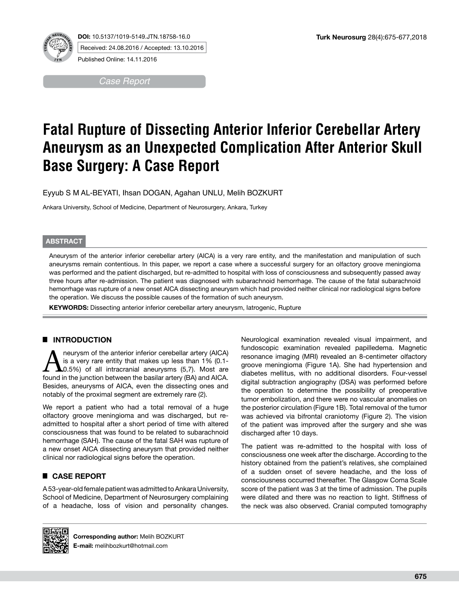



Received: 24.08.2016 / Accepted: 13.10.2016 Published Online: 14.11.2016

*Case Report*

# **Fatal Rupture of Dissecting Anterior Inferior Cerebellar Artery Aneurysm as an Unexpected Complication After Anterior Skull Base Surgery: A Case Report**

Eyyub S M AL-BEYATI, Ihsan DOGAN, Agahan UNLU, Melih BOZKURT

Ankara University, School of Medicine, Department of Neurosurgery, Ankara, Turkey

## **ABSTRACT**

Aneurysm of the anterior inferior cerebellar artery (AICA) is a very rare entity, and the manifestation and manipulation of such aneurysms remain contentious. In this paper, we report a case where a successful surgery for an olfactory groove meningioma was performed and the patient discharged, but re-admitted to hospital with loss of consciousness and subsequently passed away three hours after re-admission. The patient was diagnosed with subarachnoid hemorrhage. The cause of the fatal subarachnoid hemorrhage was rupture of a new onset AICA dissecting aneurysm which had provided neither clinical nor radiological signs before the operation. We discuss the possible causes of the formation of such aneurysm.

**KEYWORDS:** Dissecting anterior inferior cerebellar artery aneurysm, Iatrogenic, Rupture

## █ **INTRODUCTION**

**All interval in the anterior inferior cerebellar artery (AICA)** is a very rare entity that makes up less than 1% (0.1-<br>0.5%) of all intracranial aneurysms (5,7). Most are found in the junction between the basilar artery is a very rare entity that makes up less than 1% (0.1 found in the junction between the basilar artery (BA) and AICA. Besides, aneurysms of AICA, even the dissecting ones and notably of the proximal segment are extremely rare (2).

We report a patient who had a total removal of a huge olfactory groove meningioma and was discharged, but readmitted to hospital after a short period of time with altered consciousness that was found to be related to subarachnoid hemorrhage (SAH). The cause of the fatal SAH was rupture of a new onset AICA dissecting aneurysm that provided neither clinical nor radiological signs before the operation.

# █ **CASE REPORT**

A 53-year-old female patient was admitted to Ankara University, School of Medicine, Department of Neurosurgery complaining of a headache, loss of vision and personality changes.

Neurological examination revealed visual impairment, and fundoscopic examination revealed papilledema. Magnetic resonance imaging (MRI) revealed an 8-centimeter olfactory groove meningioma (Figure 1A). She had hypertension and diabetes mellitus, with no additional disorders. Four-vessel digital subtraction angiography (DSA) was performed before the operation to determine the possibility of preoperative tumor embolization, and there were no vascular anomalies on the posterior circulation (Figure 1B). Total removal of the tumor was achieved via bifrontal craniotomy (Figure 2). The vision of the patient was improved after the surgery and she was discharged after 10 days.

The patient was re-admitted to the hospital with loss of consciousness one week after the discharge. According to the history obtained from the patient's relatives, she complained of a sudden onset of severe headache, and the loss of consciousness occurred thereafter. The Glasgow Coma Scale score of the patient was 3 at the time of admission. The pupils were dilated and there was no reaction to light. Stiffness of the neck was also observed. Cranial computed tomography

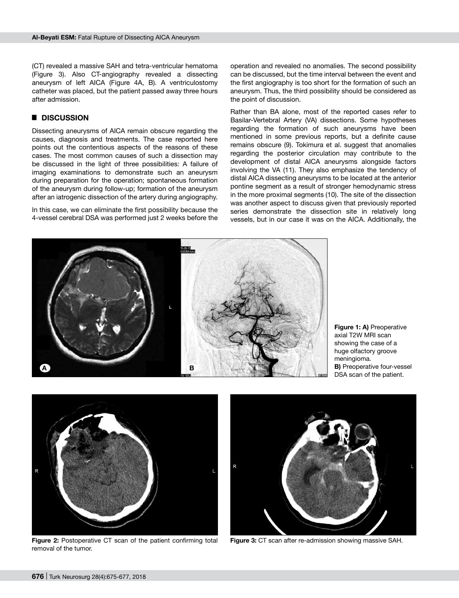(CT) revealed a massive SAH and tetra-ventricular hematoma (Figure 3). Also CT-angiography revealed a dissecting aneurysm of left AICA (Figure 4A, B). A ventriculostomy catheter was placed, but the patient passed away three hours after admission.

## █ **DISCUSSION**

Dissecting aneurysms of AICA remain obscure regarding the causes, diagnosis and treatments. The case reported here points out the contentious aspects of the reasons of these cases. The most common causes of such a dissection may be discussed in the light of three possibilities: A failure of imaging examinations to demonstrate such an aneurysm during preparation for the operation; spontaneous formation of the aneurysm during follow-up; formation of the aneurysm after an iatrogenic dissection of the artery during angiography.

In this case, we can eliminate the first possibility because the 4-vessel cerebral DSA was performed just 2 weeks before the

operation and revealed no anomalies. The second possibility can be discussed, but the time interval between the event and the first angiography is too short for the formation of such an aneurysm. Thus, the third possibility should be considered as the point of discussion.

Rather than BA alone, most of the reported cases refer to Basilar-Vertebral Artery (VA) dissections. Some hypotheses regarding the formation of such aneurysms have been mentioned in some previous reports, but a definite cause remains obscure (9). Tokimura et al. suggest that anomalies regarding the posterior circulation may contribute to the development of distal AICA aneurysms alongside factors involving the VA (11). They also emphasize the tendency of distal AICA dissecting aneurysms to be located at the anterior pontine segment as a result of stronger hemodynamic stress in the more proximal segments (10). The site of the dissection was another aspect to discuss given that previously reported series demonstrate the dissection site in relatively long vessels, but in our case it was on the AICA. Additionally, the



**Figure 1: A)** Preoperative axial T2W MRI scan showing the case of a huge olfactory groove meningioma. **B)** Preoperative four-vessel DSA scan of the patient.



**Figure 2:** Postoperative CT scan of the patient confirming total removal of the tumor.



**Figure 3:** CT scan after re-admission showing massive SAH.